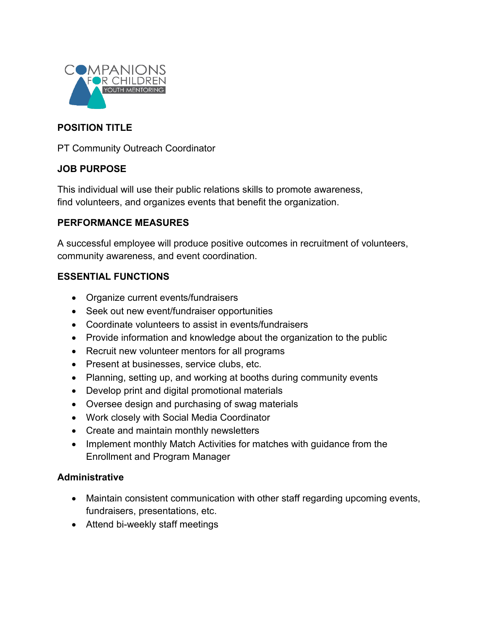

### **POSITION TITLE**

PT Community Outreach Coordinator

### **JOB PURPOSE**

This individual will use their public relations skills to promote awareness, find volunteers, and organizes events that benefit the organization.

## **PERFORMANCE MEASURES**

A successful employee will produce positive outcomes in recruitment of volunteers, community awareness, and event coordination.

### **ESSENTIAL FUNCTIONS**

- Organize current events/fundraisers
- Seek out new event/fundraiser opportunities
- Coordinate volunteers to assist in events/fundraisers
- Provide information and knowledge about the organization to the public
- Recruit new volunteer mentors for all programs
- Present at businesses, service clubs, etc.
- Planning, setting up, and working at booths during community events
- Develop print and digital promotional materials
- Oversee design and purchasing of swag materials
- Work closely with Social Media Coordinator
- Create and maintain monthly newsletters
- Implement monthly Match Activities for matches with guidance from the Enrollment and Program Manager

### **Administrative**

- Maintain consistent communication with other staff regarding upcoming events, fundraisers, presentations, etc.
- Attend bi-weekly staff meetings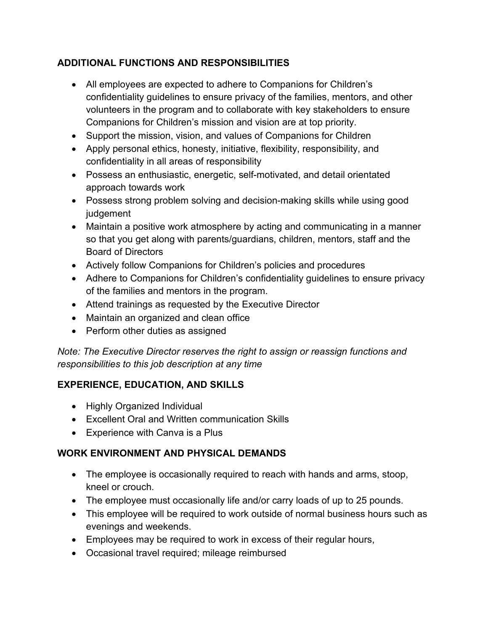# **ADDITIONAL FUNCTIONS AND RESPONSIBILITIES**

- All employees are expected to adhere to Companions for Children's confidentiality guidelines to ensure privacy of the families, mentors, and other volunteers in the program and to collaborate with key stakeholders to ensure Companions for Children's mission and vision are at top priority.
- Support the mission, vision, and values of Companions for Children
- Apply personal ethics, honesty, initiative, flexibility, responsibility, and confidentiality in all areas of responsibility
- Possess an enthusiastic, energetic, self-motivated, and detail orientated approach towards work
- Possess strong problem solving and decision-making skills while using good judgement
- Maintain a positive work atmosphere by acting and communicating in a manner so that you get along with parents/guardians, children, mentors, staff and the Board of Directors
- Actively follow Companions for Children's policies and procedures
- Adhere to Companions for Children's confidentiality guidelines to ensure privacy of the families and mentors in the program.
- Attend trainings as requested by the Executive Director
- Maintain an organized and clean office
- Perform other duties as assigned

*Note: The Executive Director reserves the right to assign or reassign functions and responsibilities to this job description at any time*

# **EXPERIENCE, EDUCATION, AND SKILLS**

- Highly Organized Individual
- Excellent Oral and Written communication Skills
- Experience with Canva is a Plus

# **WORK ENVIRONMENT AND PHYSICAL DEMANDS**

- The employee is occasionally required to reach with hands and arms, stoop, kneel or crouch.
- The employee must occasionally life and/or carry loads of up to 25 pounds.
- This employee will be required to work outside of normal business hours such as evenings and weekends.
- Employees may be required to work in excess of their regular hours,
- Occasional travel required; mileage reimbursed